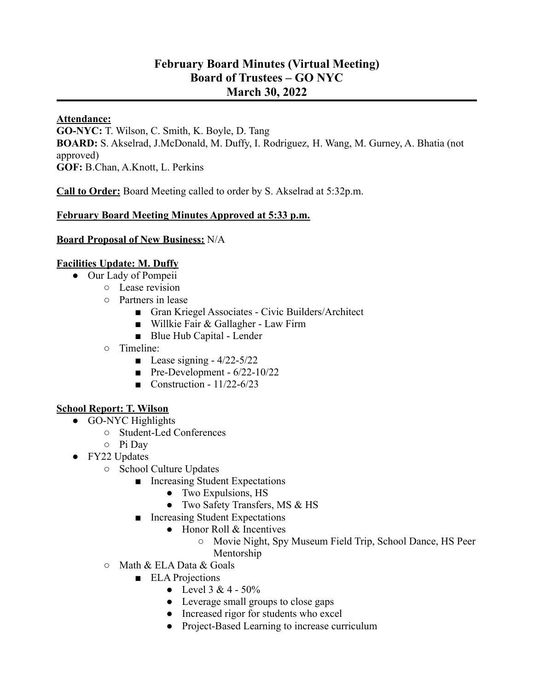# **February Board Minutes (Virtual Meeting) Board of Trustees – GO NYC March 30, 2022**

#### **Attendance:**

**GO-NYC:** T. Wilson, C. Smith, K. Boyle, D. Tang **BOARD:** S. Akselrad, J.McDonald, M. Duffy, I. Rodriguez, H. Wang, M. Gurney, A. Bhatia (not approved) **GOF:** B.Chan, A.Knott, L. Perkins

**Call to Order:** Board Meeting called to order by S. Akselrad at 5:32p.m.

### **February Board Meeting Minutes Approved at 5:33 p.m.**

**Board Proposal of New Business:** N/A

## **Facilities Update: M. Duffy**

- Our Lady of Pompeii
	- Lease revision
	- Partners in lease
		- Gran Kriegel Associates Civic Builders/Architect
		- Willkie Fair & Gallagher Law Firm
		- Blue Hub Capital Lender
	- Timeline:
		- Lease signing  $-4/22-5/22$
		- Pre-Development  $6/22$ -10/22
		- Construction  $11/22 6/23$

### **School Report: T. Wilson**

- GO-NYC Highlights
	- Student-Led Conferences
	- Pi Day
- FY22 Updates
	- School Culture Updates
		- Increasing Student Expectations
			- Two Expulsions, HS
			- Two Safety Transfers, MS & HS
		- Increasing Student Expectations
			- Honor Roll & Incentives
				- Movie Night, Spy Museum Field Trip, School Dance, HS Peer Mentorship
	- $\circ$  Math & ELA Data & Goals
		- ELA Projections
			- Level  $3 & 4 50\%$
			- Leverage small groups to close gaps
			- Increased rigor for students who excel
			- Project-Based Learning to increase curriculum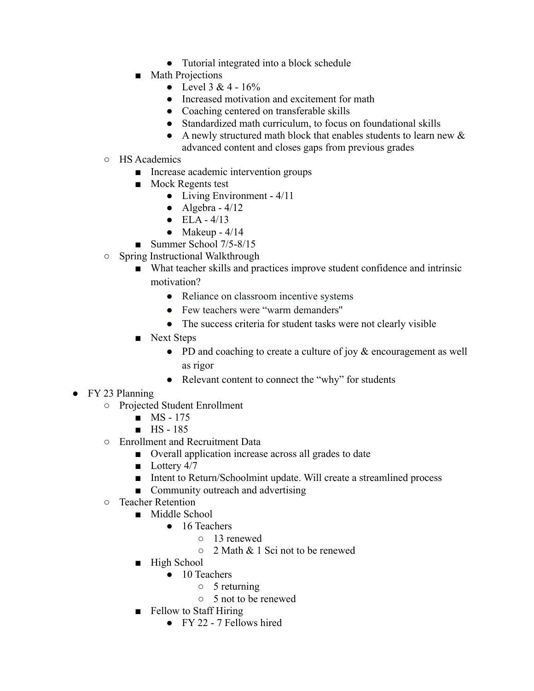- Tutorial integrated into a block schedule
- Math Projections
	- Level  $3 & 4 16%$
	- Increased motivation and excitement for math
	- Coaching centered on transferable skills
	- Standardized math curriculum, to focus on foundational skills
	- A newly structured math block that enables students to learn new  $\&$
	- advanced content and closes gaps from previous grades
- HS Academics
	- Increase academic intervention groups
	- Mock Regents test
		- Living Environment 4/11
		- $\bullet$  Algebra 4/12
		- $\bullet$  ELA 4/13
		- $\bullet$  Makeup 4/14
	- Summer School 7/5-8/15
- Spring Instructional Walkthrough
	- What teacher skills and practices improve student confidence and intrinsic motivation?
		- Reliance on classroom incentive systems
		- Few teachers were "warm demanders"
		- The success criteria for student tasks were not clearly visible
	- Next Steps
		- PD and coaching to create a culture of joy & encouragement as well as rigor
		- Relevant content to connect the "why" for students
- FY 23 Planning
	- Projected Student Enrollment
		- MS 175
		- HS 185
	- Enrollment and Recruitment Data
		- Overall application increase across all grades to date
		- Lottery 4/7
		- Intent to Return/Schoolmint update. Will create a streamlined process
		- Community outreach and advertising
	- Teacher Retention
		- Middle School
			- 16 Teachers
				- 13 renewed
				- 2 Math & 1 Sci not to be renewed
		- High School
			- 10 Teachers
				- 5 returning
				- 5 not to be renewed
		- Fellow to Staff Hiring
			- FY 22 7 Fellows hired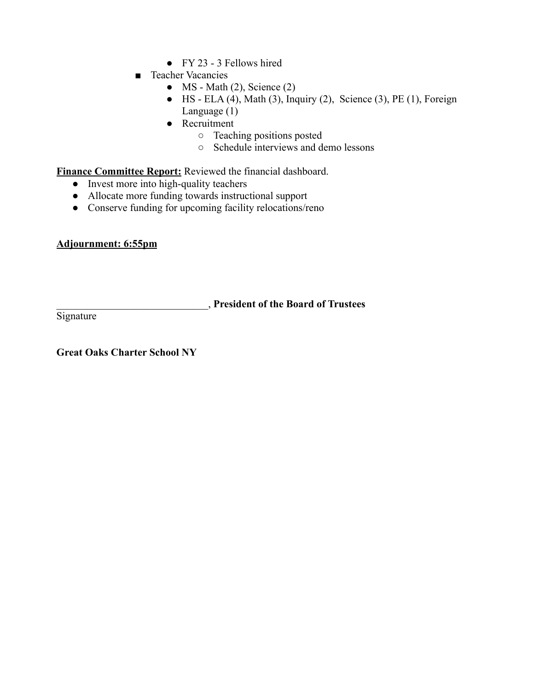- $\bullet$  FY 23 3 Fellows hired
- Teacher Vacancies
	- $\bullet$  MS Math (2), Science (2)
	- $\bullet$  HS ELA (4), Math (3), Inquiry (2), Science (3), PE (1), Foreign Language (1)
	- Recruitment
		- Teaching positions posted
		- Schedule interviews and demo lessons

**Finance Committee Report:** Reviewed the financial dashboard.

- Invest more into high-quality teachers
- Allocate more funding towards instructional support
- Conserve funding for upcoming facility relocations/reno

#### **Adjournment: 6:55pm**

\_\_\_\_\_\_\_\_\_\_\_\_\_\_\_\_\_\_\_\_\_\_\_\_\_\_\_\_\_, **President of the Board of Trustees**

**Signature** 

**Great Oaks Charter School NY**